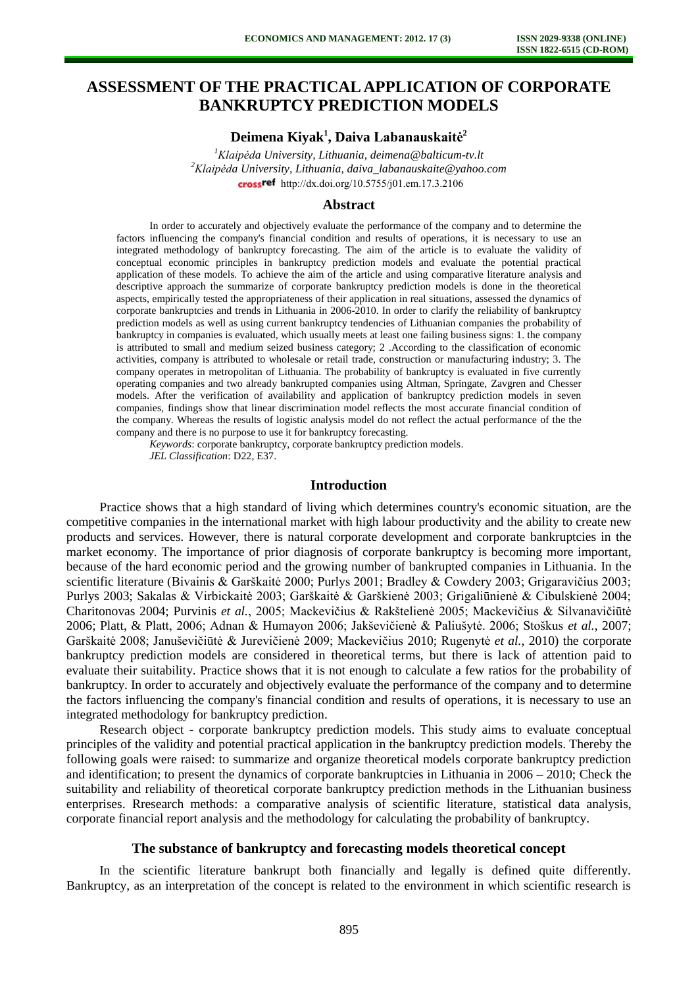# **ASSESSMENT OF THE PRACTICAL APPLICATION OF CORPORATE BANKRUPTCY PREDICTION MODELS**

**Deimena Kiyak<sup>1</sup> , Daiva Labanauskaitė<sup>2</sup>**

*<sup>1</sup>Klaipėda University, Lithuania, deimena@balticum-tv.lt <sup>2</sup>Klaipėda University, Lithuania, daiva\_labanauskaite@yahoo.com*  crossref [http://dx.doi.org/10.5755/j01.e](http://dx.doi.org/10.5755/j01.em.17.3.2106)m.17.3.2106

#### **Abstract**

In order to accurately and objectively evaluate the performance of the company and to determine the factors influencing the company's financial condition and results of operations, it is necessary to use an integrated methodology of bankruptcy forecasting. The aim of the article is to evaluate the validity of conceptual economic principles in bankruptcy prediction models and evaluate the potential practical application of these models. To achieve the aim of the article and using comparative literature analysis and descriptive approach the summarize of corporate bankruptcy prediction models is done in the theoretical aspects, empirically tested the appropriateness of their application in real situations, assessed the dynamics of corporate bankruptcies and trends in Lithuania in 2006-2010. In order to clarify the reliability of bankruptcy prediction models as well as using current bankruptcy tendencies of Lithuanian companies the probability of bankruptcy in companies is evaluated, which usually meets at least one failing business signs: 1. the company is attributed to small and medium seized business category; 2 .According to the classification of economic activities, company is attributed to wholesale or retail trade, construction or manufacturing industry; 3. The company operates in metropolitan of Lithuania. The probability of bankruptcy is evaluated in five currently operating companies and two already bankrupted companies using Altman, Springate, Zavgren and Chesser models. After the verification of availability and application of bankruptcy prediction models in seven companies, findings show that linear discrimination model reflects the most accurate financial condition of the company. Whereas the results of logistic analysis model do not reflect the actual performance of the the company and there is no purpose to use it for bankruptcy forecasting.

*Keywords*: corporate bankruptcy, corporate bankruptcy prediction models. *JEL Classification*: D22, E37.

## **Introduction**

Practice shows that a high standard of living which determines country's economic situation, are the competitive companies in the international market with high labour productivity and the ability to create new products and services. However, there is natural corporate development and corporate bankruptcies in the market economy. The importance of prior diagnosis of corporate bankruptcy is becoming more important, because of the hard economic period and the growing number of bankrupted companies in Lithuania. In the scientific literature (Bivainis & Garškaitė 2000; Purlys 2001; Bradley & Cowdery 2003; Grigaravičius 2003; Purlys 2003; Sakalas & Virbickaitė 2003; Garškaitė & Garškienė 2003; Grigaliūnienė & Cibulskienė 2004; Charitonovas 2004; Purvinis *et al.*, 2005; Mackevičius & Rakštelienė 2005; Mackevičius & Silvanavičiūtė 2006; Platt, & Platt, 2006; Adnan & Humayon 2006; Jakševičienė & Paliušytė. 2006; Stoškus *et al.*, 2007; Garškaitė 2008; Januševičiūtė & Jurevičienė 2009; Mackevičius 2010; Rugenytė *et al.*, 2010) the corporate bankruptcy prediction models are considered in theoretical terms, but there is lack of attention paid to evaluate their suitability. Practice shows that it is not enough to calculate a few ratios for the probability of bankruptcy. In order to accurately and objectively evaluate the performance of the company and to determine the factors influencing the company's financial condition and results of operations, it is necessary to use an integrated methodology for bankruptcy prediction.

Research object - corporate bankruptcy prediction models. This study aims to evaluate conceptual principles of the validity and potential practical application in the bankruptcy prediction models. Thereby the following goals were raised: to summarize and organize theoretical models corporate bankruptcy prediction and identification; to present the dynamics of corporate bankruptcies in Lithuania in 2006 – 2010; Check the suitability and reliability of theoretical corporate bankruptcy prediction methods in the Lithuanian business enterprises. Rresearch methods: a comparative analysis of scientific literature, statistical data analysis, corporate financial report analysis and the methodology for calculating the probability of bankruptcy.

#### **The substance of bankruptcy and forecasting models theoretical concept**

In the scientific literature bankrupt both financially and legally is defined quite differently. Bankruptcy, as an interpretation of the concept is related to the environment in which scientific research is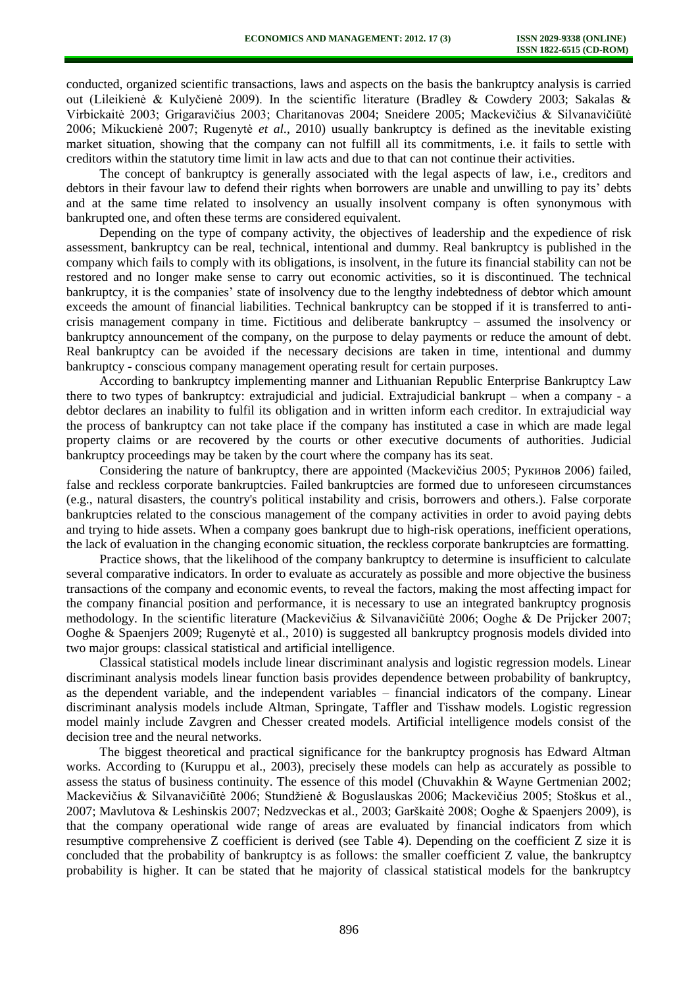conducted, organized scientific transactions, laws and aspects on the basis the bankruptcy analysis is carried out (Lileikienė & Kulyčienė 2009). In the scientific literature (Bradley & Cowdery 2003; Sakalas & Virbickaitė 2003; Grigaravičius 2003; Charitanovas 2004; Sneidere 2005; Mackevičius & Silvanavičiūtė 2006; Mikuckienė 2007; Rugenytė *et al.*, 2010) usually bankruptcy is defined as the inevitable existing market situation, showing that the company can not fulfill all its commitments, i.e. it fails to settle with creditors within the statutory time limit in law acts and due to that can not continue their activities.

The concept of bankruptcy is generally associated with the legal aspects of law, i.e., creditors and debtors in their favour law to defend their rights when borrowers are unable and unwilling to pay its' debts and at the same time related to insolvency an usually insolvent company is often synonymous with bankrupted one, and often these terms are considered equivalent.

Depending on the type of company activity, the objectives of leadership and the expedience of risk assessment, bankruptcy can be real, technical, intentional and dummy. Real bankruptcy is published in the company which fails to comply with its obligations, is insolvent, in the future its financial stability can not be restored and no longer make sense to carry out economic activities, so it is discontinued. The technical bankruptcy, it is the companies' state of insolvency due to the lengthy indebtedness of debtor which amount exceeds the amount of financial liabilities. Technical bankruptcy can be stopped if it is transferred to anticrisis management company in time. Fictitious and deliberate bankruptcy – assumed the insolvency or bankruptcy announcement of the company, on the purpose to delay payments or reduce the amount of debt. Real bankruptcy can be avoided if the necessary decisions are taken in time, intentional and dummy bankruptcy - conscious company management operating result for certain purposes.

According to bankruptcy implementing manner and Lithuanian Republic Enterprise Bankruptcy Law there to two types of bankruptcy: extrajudicial and judicial. Extrajudicial bankrupt – when a company - a debtor declares an inability to fulfil its obligation and in written inform each creditor. In extrajudicial way the process of bankruptcy can not take place if the company has instituted a case in which are made legal property claims or are recovered by the courts or other executive documents of authorities. Judicial bankruptcy proceedings may be taken by the court where the company has its seat.

Considering the nature of bankruptcy, there are appointed (Mackevičius 2005; Рукинов 2006) failed, false and reckless corporate bankruptcies. Failed bankruptcies are formed due to unforeseen circumstances (e.g., natural disasters, the country's political instability and crisis, borrowers and others.). False corporate bankruptcies related to the conscious management of the company activities in order to avoid paying debts and trying to hide assets. When a company goes bankrupt due to high-risk operations, inefficient operations, the lack of evaluation in the changing economic situation, the reckless corporate bankruptcies are formatting.

Practice shows, that the likelihood of the company bankruptcy to determine is insufficient to calculate several comparative indicators. In order to evaluate as accurately as possible and more objective the business transactions of the company and economic events, to reveal the factors, making the most affecting impact for the company financial position and performance, it is necessary to use an integrated bankruptcy prognosis methodology. In the scientific literature (Mackevičius & Silvanavičiūtė 2006; Ooghe & De Prijcker 2007; Ooghe & Spaenjers 2009; Rugenytė et al., 2010) is suggested all bankruptcy prognosis models divided into two major groups: classical statistical and artificial intelligence.

Classical statistical models include linear discriminant analysis and logistic regression models. Linear discriminant analysis models linear function basis provides dependence between probability of bankruptcy, as the dependent variable, and the independent variables – financial indicators of the company. Linear discriminant analysis models include Altman, Springate, Taffler and Tisshaw models. Logistic regression model mainly include Zavgren and Chesser created models. Artificial intelligence models consist of the decision tree and the neural networks.

The biggest theoretical and practical significance for the bankruptcy prognosis has Edward Altman works. According to (Kuruppu et al., 2003), precisely these models can help as accurately as possible to assess the status of business continuity. The essence of this model (Chuvakhin & Wayne Gertmenian 2002; Mackevičius & Silvanavičiūtė 2006; Stundžienė & Boguslauskas 2006; Mackevičius 2005; Stoškus et al., 2007; Mavlutova & Leshinskis 2007; Nedzveckas et al., 2003; Garškaitė 2008; Ooghe & Spaenjers 2009), is that the company operational wide range of areas are evaluated by financial indicators from which resumptive comprehensive Z coefficient is derived (see Table 4). Depending on the coefficient Z size it is concluded that the probability of bankruptcy is as follows: the smaller coefficient Z value, the bankruptcy probability is higher. It can be stated that he majority of classical statistical models for the bankruptcy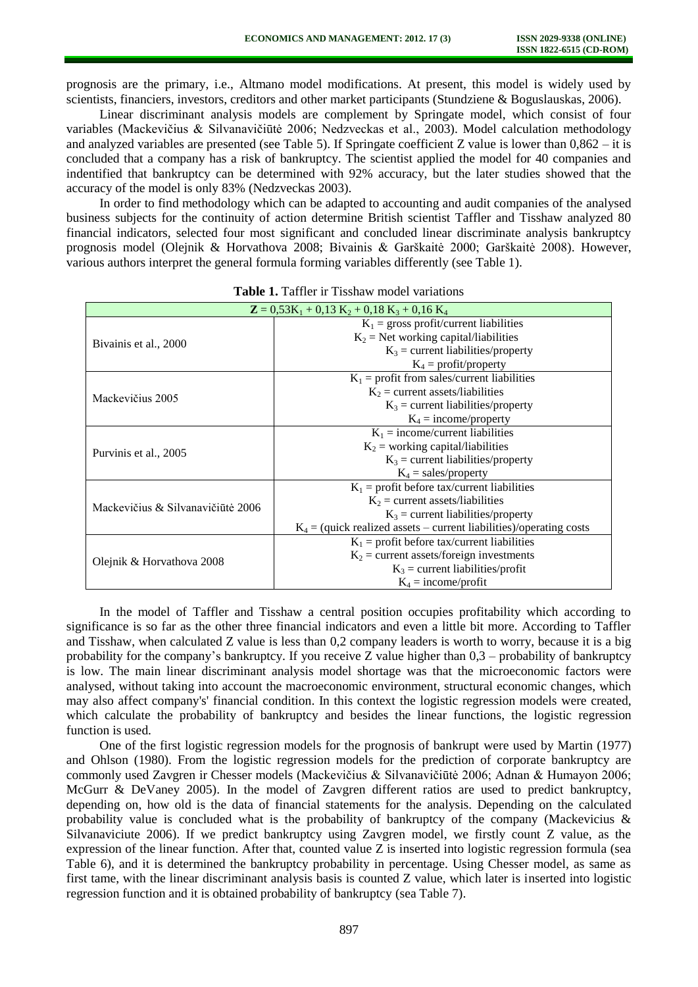prognosis are the primary, i.e., Altmano model modifications. At present, this model is widely used by scientists, financiers, investors, creditors and other market participants (Stundziene & Boguslauskas, 2006).

Linear discriminant analysis models are complement by Springate model, which consist of four variables (Mackevičius & Silvanavičiūtė 2006; Nedzveckas et al., 2003). Model calculation methodology and analyzed variables are presented (see Table 5). If Springate coefficient Z value is lower than 0,862 – it is concluded that a company has a risk of bankruptcy. The scientist applied the model for 40 companies and indentified that bankruptcy can be determined with 92% accuracy, but the later studies showed that the accuracy of the model is only 83% (Nedzveckas 2003).

In order to find methodology which can be adapted to accounting and audit companies of the analysed business subjects for the continuity of action determine British scientist Taffler and Tisshaw analyzed 80 financial indicators, selected four most significant and concluded linear discriminate analysis bankruptcy prognosis model (Olejnik & Horvathova 2008; Bivainis & Garškaitė 2000; Garškaitė 2008). However, various authors interpret the general formula forming variables differently (see Table 1).

| $\mathbf{Z} = 0.53\text{K}_1 + 0.13 \text{ K}_2 + 0.18 \text{ K}_3 + 0.16 \text{ K}_4$ |                                                                       |  |  |  |  |  |
|----------------------------------------------------------------------------------------|-----------------------------------------------------------------------|--|--|--|--|--|
|                                                                                        | $K_1$ = gross profit/current liabilities                              |  |  |  |  |  |
| Bivainis et al., 2000                                                                  | $K_2$ = Net working capital/liabilities                               |  |  |  |  |  |
|                                                                                        | $K_3$ = current liabilities/property                                  |  |  |  |  |  |
|                                                                                        | $K_4$ = profit/property                                               |  |  |  |  |  |
|                                                                                        | $K_1$ = profit from sales/current liabilities                         |  |  |  |  |  |
| Mackevičius 2005                                                                       | $K_2$ = current assets/liabilities                                    |  |  |  |  |  |
|                                                                                        | $K_3$ = current liabilities/property                                  |  |  |  |  |  |
|                                                                                        | $K_4$ = income/property                                               |  |  |  |  |  |
|                                                                                        | $K_1$ = income/current liabilities                                    |  |  |  |  |  |
| Purvinis et al., 2005                                                                  | $K_2$ = working capital/liabilities                                   |  |  |  |  |  |
|                                                                                        | $K_3$ = current liabilities/property                                  |  |  |  |  |  |
|                                                                                        | $K_4$ = sales/property                                                |  |  |  |  |  |
|                                                                                        | $K_1$ = profit before tax/current liabilities                         |  |  |  |  |  |
| Mackevičius & Silvanavičiūtė 2006                                                      | $K_2$ = current assets/liabilities                                    |  |  |  |  |  |
|                                                                                        | $K_3$ = current liabilities/property                                  |  |  |  |  |  |
|                                                                                        | $K_4$ = (quick realized assets – current liabilities)/operating costs |  |  |  |  |  |
|                                                                                        | $K_1$ = profit before tax/current liabilities                         |  |  |  |  |  |
| Olejnik & Horvathova 2008                                                              | $K_2$ = current assets/foreign investments                            |  |  |  |  |  |
|                                                                                        | $K_3$ = current liabilities/profit                                    |  |  |  |  |  |
|                                                                                        | $K_4$ = income/profit                                                 |  |  |  |  |  |

**Table 1.** Taffler ir Tisshaw model variations

In the model of Taffler and Tisshaw a central position occupies profitability which according to significance is so far as the other three financial indicators and even a little bit more. According to Taffler and Tisshaw, when calculated Z value is less than 0,2 company leaders is worth to worry, because it is a big probability for the company's bankruptcy. If you receive  $Z$  value higher than  $0.3$  – probability of bankruptcy is low. The main linear discriminant analysis model shortage was that the microeconomic factors were analysed, without taking into account the macroeconomic environment, structural economic changes, which may also affect company's' financial condition. In this context the logistic regression models were created, which calculate the probability of bankruptcy and besides the linear functions, the logistic regression function is used.

One of the first logistic regression models for the prognosis of bankrupt were used by Martin (1977) and Ohlson (1980). From the logistic regression models for the prediction of corporate bankruptcy are commonly used Zavgren ir Chesser models (Mackevičius & Silvanavičiūtė 2006; Adnan & Humayon 2006; McGurr & DeVaney 2005). In the model of Zavgren different ratios are used to predict bankruptcy, depending on, how old is the data of financial statements for the analysis. Depending on the calculated probability value is concluded what is the probability of bankruptcy of the company (Mackevicius & Silvanaviciute 2006). If we predict bankruptcy using Zavgren model, we firstly count Z value, as the expression of the linear function. After that, counted value Z is inserted into logistic regression formula (sea Table 6), and it is determined the bankruptcy probability in percentage. Using Chesser model, as same as first tame, with the linear discriminant analysis basis is counted Z value, which later is inserted into logistic regression function and it is obtained probability of bankruptcy (sea Table 7).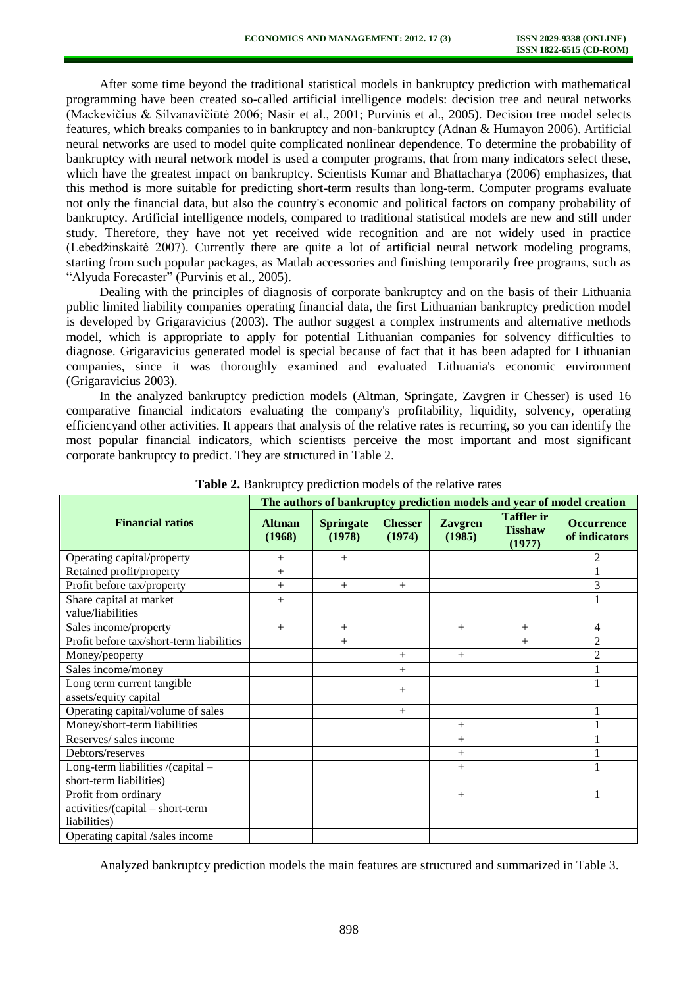After some time beyond the traditional statistical models in bankruptcy prediction with mathematical programming have been created so-called artificial intelligence models: decision tree and neural networks (Mackevičius & Silvanavičiūtė 2006; Nasir et al., 2001; Purvinis et al., 2005). Decision tree model selects features, which breaks companies to in bankruptcy and non-bankruptcy (Adnan & Humayon 2006). Artificial neural networks are used to model quite complicated nonlinear dependence. To determine the probability of bankruptcy with neural network model is used a computer programs, that from many indicators select these, which have the greatest impact on bankruptcy. Scientists Kumar and Bhattacharya (2006) emphasizes, that this method is more suitable for predicting short-term results than long-term. Computer programs evaluate not only the financial data, but also the country's economic and political factors on company probability of bankruptcy. Artificial intelligence models, compared to traditional statistical models are new and still under study. Therefore, they have not yet received wide recognition and are not widely used in practice (Lebedžinskaitė 2007). Currently there are quite a lot of artificial neural network modeling programs, starting from such popular packages, as Matlab accessories and finishing temporarily free programs, such as "Alyuda Forecaster" (Purvinis et al., 2005).

Dealing with the principles of diagnosis of corporate bankruptcy and on the basis of their Lithuania public limited liability companies operating financial data, the first Lithuanian bankruptcy prediction model is developed by Grigaravicius (2003). The author suggest a complex instruments and alternative methods model, which is appropriate to apply for potential Lithuanian companies for solvency difficulties to diagnose. Grigaravicius generated model is special because of fact that it has been adapted for Lithuanian companies, since it was thoroughly examined and evaluated Lithuania's economic environment (Grigaravicius 2003).

In the analyzed bankruptcy prediction models (Altman, Springate, Zavgren ir Chesser) is used 16 comparative financial indicators evaluating the company's profitability, liquidity, solvency, operating efficiencyand other activities. It appears that analysis of the relative rates is recurring, so you can identify the most popular financial indicators, which scientists perceive the most important and most significant corporate bankruptcy to predict. They are structured in Table 2.

|                                          | The authors of bankruptcy prediction models and year of model creation |                            |                          |                          |                                               |                                    |  |  |  |
|------------------------------------------|------------------------------------------------------------------------|----------------------------|--------------------------|--------------------------|-----------------------------------------------|------------------------------------|--|--|--|
| <b>Financial ratios</b>                  | <b>Altman</b><br>(1968)                                                | <b>Springate</b><br>(1978) | <b>Chesser</b><br>(1974) | <b>Zavgren</b><br>(1985) | <b>Taffler</b> ir<br><b>Tisshaw</b><br>(1977) | <b>Occurrence</b><br>of indicators |  |  |  |
| Operating capital/property               | $^{+}$                                                                 | $+$                        |                          |                          |                                               | $\overline{2}$                     |  |  |  |
| Retained profit/property                 | $+$                                                                    |                            |                          |                          |                                               |                                    |  |  |  |
| Profit before tax/property               | $^{+}$                                                                 | $+$                        | $+$                      |                          |                                               | 3                                  |  |  |  |
| Share capital at market                  | $+$                                                                    |                            |                          |                          |                                               |                                    |  |  |  |
| value/liabilities                        |                                                                        |                            |                          |                          |                                               |                                    |  |  |  |
| Sales income/property                    | $+$                                                                    | $+$                        |                          | $^{+}$                   | $+$                                           | $\overline{4}$                     |  |  |  |
| Profit before tax/short-term liabilities |                                                                        | $+$                        |                          |                          | $^{+}$                                        | $\overline{2}$                     |  |  |  |
| Money/peoperty                           |                                                                        |                            | $^{+}$                   | $+$                      |                                               | $\overline{2}$                     |  |  |  |
| Sales income/money                       |                                                                        |                            | $^{+}$                   |                          |                                               |                                    |  |  |  |
| Long term current tangible               |                                                                        |                            |                          |                          |                                               |                                    |  |  |  |
| assets/equity capital                    |                                                                        |                            | $^{+}$                   |                          |                                               |                                    |  |  |  |
| Operating capital/volume of sales        |                                                                        |                            | $+$                      |                          |                                               |                                    |  |  |  |
| Money/short-term liabilities             |                                                                        |                            |                          | $+$                      |                                               |                                    |  |  |  |
| Reserves/ sales income                   |                                                                        |                            |                          | $^{+}$                   |                                               |                                    |  |  |  |
| Debtors/reserves                         |                                                                        |                            |                          | $^{+}$                   |                                               |                                    |  |  |  |
| Long-term liabilities /(capital -        |                                                                        |                            |                          | $+$                      |                                               |                                    |  |  |  |
| short-term liabilities)                  |                                                                        |                            |                          |                          |                                               |                                    |  |  |  |
| Profit from ordinary                     |                                                                        |                            |                          | $^{+}$                   |                                               | 1                                  |  |  |  |
| activities/(capital - short-term         |                                                                        |                            |                          |                          |                                               |                                    |  |  |  |
| liabilities)                             |                                                                        |                            |                          |                          |                                               |                                    |  |  |  |
| Operating capital /sales income          |                                                                        |                            |                          |                          |                                               |                                    |  |  |  |

**Table 2.** Bankruptcy prediction models of the relative rates

Analyzed bankruptcy prediction models the main features are structured and summarized in Table 3.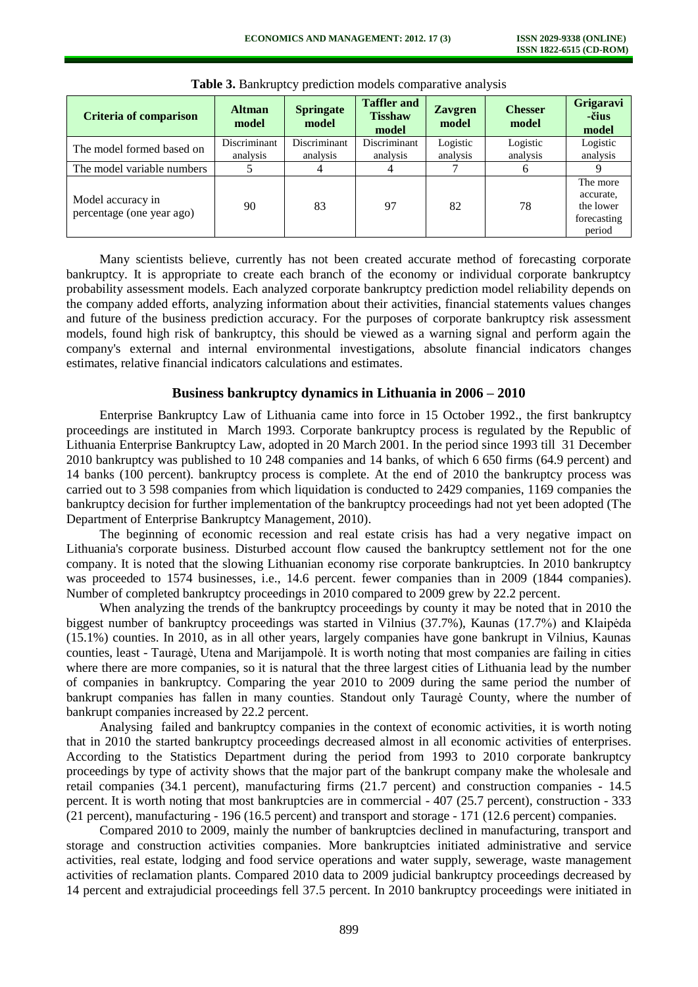| <b>Criteria of comparison</b>                  | <b>Altman</b><br>model   | <b>Springate</b><br>model | <b>Taffler and</b><br><b>Tisshaw</b><br>model | <b>Zavgren</b><br>model | <b>Chesser</b><br>model | Grigaravi<br>-čius<br>model                                 |
|------------------------------------------------|--------------------------|---------------------------|-----------------------------------------------|-------------------------|-------------------------|-------------------------------------------------------------|
| The model formed based on                      | Discriminant<br>analysis | Discriminant<br>analysis  | Discriminant<br>analysis                      | Logistic<br>analysis    | Logistic<br>analysis    | Logistic<br>analysis                                        |
| The model variable numbers                     |                          |                           | 4                                             |                         | 6                       |                                                             |
| Model accuracy in<br>percentage (one year ago) | 90                       | 83                        | 97                                            | 82                      | 78                      | The more<br>accurate.<br>the lower<br>forecasting<br>period |

**Table 3.** Bankruptcy prediction models comparative analysis

Many scientists believe, currently has not been created accurate method of forecasting corporate bankruptcy. It is appropriate to create each branch of the economy or individual corporate bankruptcy probability assessment models. Each analyzed corporate bankruptcy prediction model reliability depends on the company added efforts, analyzing information about their activities, financial statements values changes and future of the business prediction accuracy. For the purposes of corporate bankruptcy risk assessment models, found high risk of bankruptcy, this should be viewed as a warning signal and perform again the company's external and internal environmental investigations, absolute financial indicators changes estimates, relative financial indicators calculations and estimates.

## **Business bankruptcy dynamics in Lithuania in 2006 – 2010**

Enterprise Bankruptcy Law of Lithuania came into force in 15 October 1992., the first bankruptcy proceedings are instituted in March 1993. Corporate bankruptcy process is regulated by the Republic of Lithuania Enterprise Bankruptcy Law, adopted in 20 March 2001. In the period since 1993 till 31 December 2010 bankruptcy was published to 10 248 companies and 14 banks, of which 6 650 firms (64.9 percent) and 14 banks (100 percent). bankruptcy process is complete. At the end of 2010 the bankruptcy process was carried out to 3 598 companies from which liquidation is conducted to 2429 companies, 1169 companies the bankruptcy decision for further implementation of the bankruptcy proceedings had not yet been adopted (The Department of Enterprise Bankruptcy Management, 2010).

The beginning of economic recession and real estate crisis has had a very negative impact on Lithuania's corporate business. Disturbed account flow caused the bankruptcy settlement not for the one company. It is noted that the slowing Lithuanian economy rise corporate bankruptcies. In 2010 bankruptcy was proceeded to 1574 businesses, i.e., 14.6 percent. fewer companies than in 2009 (1844 companies). Number of completed bankruptcy proceedings in 2010 compared to 2009 grew by 22.2 percent.

When analyzing the trends of the bankruptcy proceedings by county it may be noted that in 2010 the biggest number of bankruptcy proceedings was started in Vilnius (37.7%), Kaunas (17.7%) and Klaipėda (15.1%) counties. In 2010, as in all other years, largely companies have gone bankrupt in Vilnius, Kaunas counties, least - Tauragė, Utena and Marijampolė. It is worth noting that most companies are failing in cities where there are more companies, so it is natural that the three largest cities of Lithuania lead by the number of companies in bankruptcy. Comparing the year 2010 to 2009 during the same period the number of bankrupt companies has fallen in many counties. Standout only Tauragė County, where the number of bankrupt companies increased by 22.2 percent.

Analysing failed and bankruptcy companies in the context of economic activities, it is worth noting that in 2010 the started bankruptcy proceedings decreased almost in all economic activities of enterprises. According to the Statistics Department during the period from 1993 to 2010 corporate bankruptcy proceedings by type of activity shows that the major part of the bankrupt company make the wholesale and retail companies (34.1 percent), manufacturing firms (21.7 percent) and construction companies - 14.5 percent. It is worth noting that most bankruptcies are in commercial - 407 (25.7 percent), construction - 333 (21 percent), manufacturing - 196 (16.5 percent) and transport and storage - 171 (12.6 percent) companies.

Compared 2010 to 2009, mainly the number of bankruptcies declined in manufacturing, transport and storage and construction activities companies. More bankruptcies initiated administrative and service activities, real estate, lodging and food service operations and water supply, sewerage, waste management activities of reclamation plants. Compared 2010 data to 2009 judicial bankruptcy proceedings decreased by 14 percent and extrajudicial proceedings fell 37.5 percent. In 2010 bankruptcy proceedings were initiated in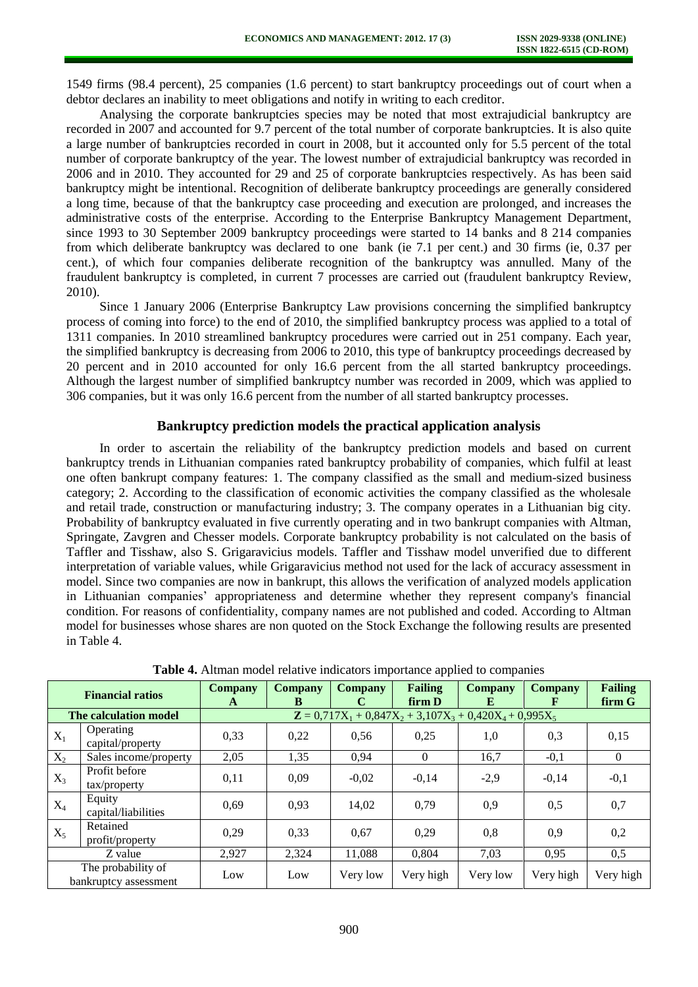1549 firms (98.4 percent), 25 companies (1.6 percent) to start bankruptcy proceedings out of court when a debtor declares an inability to meet obligations and notify in writing to each creditor.

Analysing the corporate bankruptcies species may be noted that most extrajudicial bankruptcy are recorded in 2007 and accounted for 9.7 percent of the total number of corporate bankruptcies. It is also quite a large number of bankruptcies recorded in court in 2008, but it accounted only for 5.5 percent of the total number of corporate bankruptcy of the year. The lowest number of extrajudicial bankruptcy was recorded in 2006 and in 2010. They accounted for 29 and 25 of corporate bankruptcies respectively. As has been said bankruptcy might be intentional. Recognition of deliberate bankruptcy proceedings are generally considered a long time, because of that the bankruptcy case proceeding and execution are prolonged, and increases the administrative costs of the enterprise. According to the Enterprise Bankruptcy Management Department, since 1993 to 30 September 2009 bankruptcy proceedings were started to 14 banks and 8 214 companies from which deliberate bankruptcy was declared to one bank (ie 7.1 per cent.) and 30 firms (ie, 0.37 per cent.), of which four companies deliberate recognition of the bankruptcy was annulled. Many of the fraudulent bankruptcy is completed, in current 7 processes are carried out (fraudulent bankruptcy Review, 2010).

Since 1 January 2006 (Enterprise Bankruptcy Law provisions concerning the simplified bankruptcy process of coming into force) to the end of 2010, the simplified bankruptcy process was applied to a total of 1311 companies. In 2010 streamlined bankruptcy procedures were carried out in 251 company. Each year, the simplified bankruptcy is decreasing from 2006 to 2010, this type of bankruptcy proceedings decreased by 20 percent and in 2010 accounted for only 16.6 percent from the all started bankruptcy proceedings. Although the largest number of simplified bankruptcy number was recorded in 2009, which was applied to 306 companies, but it was only 16.6 percent from the number of all started bankruptcy processes.

## **Bankruptcy prediction models the practical application analysis**

In order to ascertain the reliability of the bankruptcy prediction models and based on current bankruptcy trends in Lithuanian companies rated bankruptcy probability of companies, which fulfil at least one often bankrupt company features: 1. The company classified as the small and medium-sized business category; 2. According to the classification of economic activities the company classified as the wholesale and retail trade, construction or manufacturing industry; 3. The company operates in a Lithuanian big city. Probability of bankruptcy evaluated in five currently operating and in two bankrupt companies with Altman, Springate, Zavgren and Chesser models. Corporate bankruptcy probability is not calculated on the basis of Taffler and Tisshaw, also S. Grigaravicius models. Taffler and Tisshaw model unverified due to different interpretation of variable values, while Grigaravicius method not used for the lack of accuracy assessment in model. Since two companies are now in bankrupt, this allows the verification of analyzed models application in Lithuanian companies' appropriateness and determine whether they represent company's financial condition. For reasons of confidentiality, company names are not published and coded. According to Altman model for businesses whose shares are non quoted on the Stock Exchange the following results are presented in Table 4.

|       | <b>Financial ratios</b>                     | <b>Company</b> | <b>Company</b> | <b>Company</b> | <b>Failing</b>                                                                | Company  | <b>Company</b> | <b>Failing</b> |
|-------|---------------------------------------------|----------------|----------------|----------------|-------------------------------------------------------------------------------|----------|----------------|----------------|
|       | The calculation model                       | A              | B              |                | firm D<br>$\mathbf{Z} = 0.717X_1 + 0.847X_2 + 3.107X_3 + 0.420X_4 + 0.995X_5$ | E        | Е              | firm G         |
| $X_1$ | Operating<br>capital/property               | 0,33           | 0,22           | 0,56           | 0,25                                                                          | 1,0      | 0,3            | 0,15           |
| $X_2$ | Sales income/property                       | 2,05           | 1,35           | 0,94           | $\theta$                                                                      | 16,7     | $-0.1$         | $\Omega$       |
| $X_3$ | Profit before<br>$\text{tax/property}$      | 0,11           | 0,09           | $-0,02$        | $-0.14$                                                                       | $-2,9$   | $-0.14$        | $-0,1$         |
| $X_4$ | Equity<br>capital/liabilities               | 0,69           | 0,93           | 14,02          | 0,79                                                                          | 0,9      | 0.5            | 0,7            |
| $X_5$ | Retained<br>profit/property                 | 0.29           | 0,33           | 0,67           | 0.29                                                                          | 0,8      | 0,9            | 0,2            |
|       | Z value                                     | 2,927          | 2,324          | 11,088         | 0.804                                                                         | 7,03     | 0,95           | 0,5            |
|       | The probability of<br>bankruptcy assessment | Low            | Low            | Very low       | Very high                                                                     | Very low | Very high      | Very high      |

**Table 4.** Altman model relative indicators importance applied to companies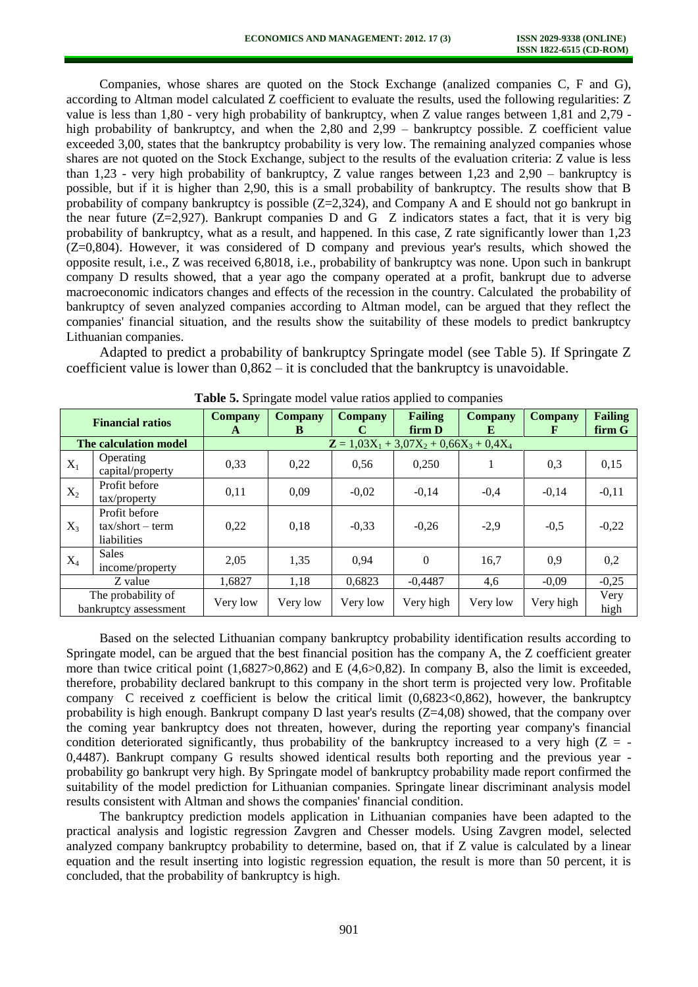Companies, whose shares are quoted on the Stock Exchange (analized companies C, F and G), according to Altman model calculated Z coefficient to evaluate the results, used the following regularities: Z value is less than 1,80 - very high probability of bankruptcy, when Z value ranges between 1,81 and 2,79 high probability of bankruptcy, and when the 2,80 and 2,99 – bankruptcy possible. Z coefficient value exceeded 3,00, states that the bankruptcy probability is very low. The remaining analyzed companies whose shares are not quoted on the Stock Exchange, subject to the results of the evaluation criteria: Z value is less than 1,23 - very high probability of bankruptcy, Z value ranges between 1,23 and 2,90 – bankruptcy is possible, but if it is higher than 2,90, this is a small probability of bankruptcy. The results show that B probability of company bankruptcy is possible  $(Z=2,324)$ , and Company A and E should not go bankrupt in the near future  $(Z=2,927)$ . Bankrupt companies D and G Z indicators states a fact, that it is very big probability of bankruptcy, what as a result, and happened. In this case, Z rate significantly lower than 1,23 (Z=0,804). However, it was considered of D company and previous year's results, which showed the opposite result, i.e., Z was received 6,8018, i.e., probability of bankruptcy was none. Upon such in bankrupt company D results showed, that a year ago the company operated at a profit, bankrupt due to adverse macroeconomic indicators changes and effects of the recession in the country. Calculated the probability of bankruptcy of seven analyzed companies according to Altman model, can be argued that they reflect the companies' financial situation, and the results show the suitability of these models to predict bankruptcy Lithuanian companies.

Adapted to predict a probability of bankruptcy Springate model (see Table 5). If Springate Z coefficient value is lower than 0,862 – it is concluded that the bankruptcy is unavoidable.

|       | <b>Financial ratios</b>                          | <b>Company</b><br>A | <b>Company</b><br>B | <b>Company</b> | <b>Failing</b><br>firm D                            | Company<br>E | <b>Company</b><br>F | <b>Failing</b><br>firm G |
|-------|--------------------------------------------------|---------------------|---------------------|----------------|-----------------------------------------------------|--------------|---------------------|--------------------------|
|       | The calculation model                            |                     |                     |                | $\mathbf{Z} = 1.03X_1 + 3.07X_2 + 0.66X_3 + 0.4X_4$ |              |                     |                          |
| $X_1$ | Operating<br>capital/property                    | 0,33                | 0,22                | 0,56           | 0,250                                               |              | 0,3                 | 0,15                     |
| $X_2$ | Profit before<br>tax/property                    | 0,11                | 0.09                | $-0,02$        | $-0,14$                                             | $-0,4$       | $-0,14$             | $-0,11$                  |
| $X_3$ | Profit before<br>$tax/short-term$<br>liabilities | 0,22                | 0,18                | $-0,33$        | $-0,26$                                             | $-2,9$       | $-0,5$              | $-0,22$                  |
| $X_4$ | <b>Sales</b><br>income/property                  | 2,05                | 1,35                | 0.94           | $\Omega$                                            | 16,7         | 0,9                 | 0,2                      |
|       | Z value                                          | 1,6827              | 1,18                | 0.6823         | $-0.4487$                                           | 4,6          | $-0,09$             | $-0,25$                  |
|       | The probability of<br>bankruptcy assessment      | Very low            | Very low            | Very low       | Very high                                           | Very low     | Very high           | Very<br>high             |

**Table 5.** Springate model value ratios applied to companies

Based on the selected Lithuanian company bankruptcy probability identification results according to Springate model, can be argued that the best financial position has the company A, the Z coefficient greater more than twice critical point  $(1.6827>0.862)$  and E  $(4.6>0.82)$ . In company B, also the limit is exceeded, therefore, probability declared bankrupt to this company in the short term is projected very low. Profitable company C received z coefficient is below the critical limit  $(0.6823<0.862)$ , however, the bankruptcy probability is high enough. Bankrupt company D last year's results (Z=4,08) showed, that the company over the coming year bankruptcy does not threaten, however, during the reporting year company's financial condition deteriorated significantly, thus probability of the bankruptcy increased to a very high ( $Z = -$ 0,4487). Bankrupt company G results showed identical results both reporting and the previous year probability go bankrupt very high. By Springate model of bankruptcy probability made report confirmed the suitability of the model prediction for Lithuanian companies. Springate linear discriminant analysis model results consistent with Altman and shows the companies' financial condition.

The bankruptcy prediction models application in Lithuanian companies have been adapted to the practical analysis and logistic regression Zavgren and Chesser models. Using Zavgren model, selected analyzed company bankruptcy probability to determine, based on, that if Z value is calculated by a linear equation and the result inserting into logistic regression equation, the result is more than 50 percent, it is concluded, that the probability of bankruptcy is high.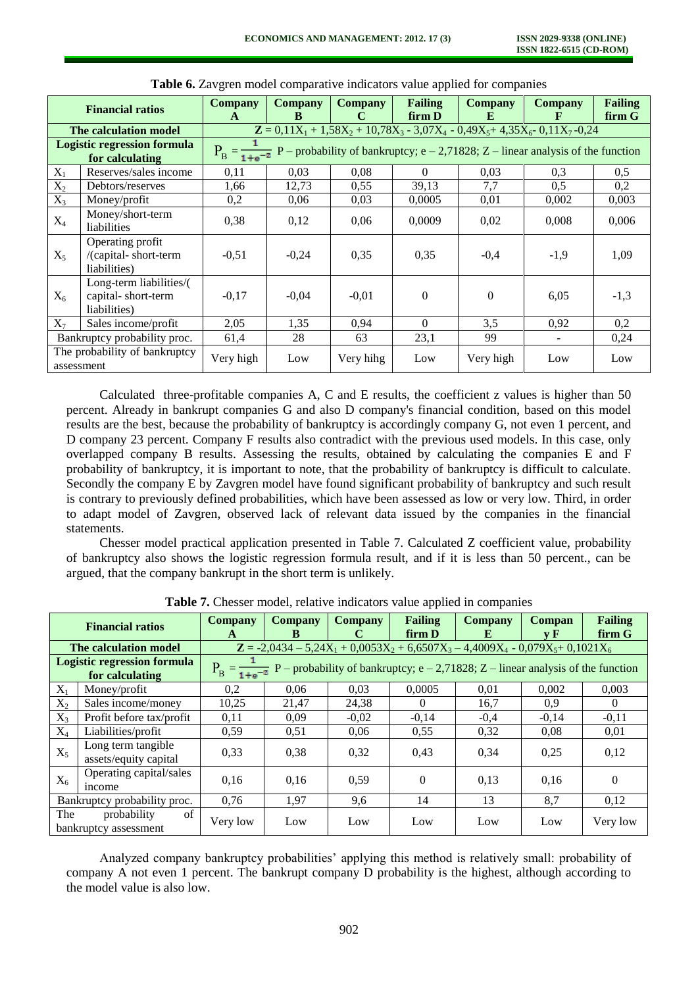| <b>Financial ratios</b>      |                                                               | <b>Company</b> | <b>Company</b>                                                                                               | <b>Company</b> | Failing        | <b>Company</b> | <b>Company</b>                                                                             | <b>Failing</b> |  |  |  |
|------------------------------|---------------------------------------------------------------|----------------|--------------------------------------------------------------------------------------------------------------|----------------|----------------|----------------|--------------------------------------------------------------------------------------------|----------------|--|--|--|
|                              |                                                               | $\mathbf{A}$   | B                                                                                                            | C              | firm D         | E              | F                                                                                          | firm G         |  |  |  |
|                              | The calculation model                                         |                |                                                                                                              |                |                |                | $\mathbf{Z} = 0.11X_1 + 1.58X_2 + 10.78X_3 - 3.07X_4 - 0.49X_5 + 4.35X_6 - 0.11X_7 - 0.24$ |                |  |  |  |
|                              | <b>Logistic regression formula</b>                            |                | $P_B = \frac{1}{1 + e^{-z}} P$ – probability of bankruptcy; e – 2,71828; Z – linear analysis of the function |                |                |                |                                                                                            |                |  |  |  |
|                              | for calculating                                               |                |                                                                                                              |                |                |                |                                                                                            |                |  |  |  |
| $X_1$                        | Reserves/sales income                                         | 0,11           | 0,03                                                                                                         | 0,08           | $\Omega$       | 0.03           | 0,3                                                                                        | $0.5^{\circ}$  |  |  |  |
| $X_2$                        | Debtors/reserves                                              | 1,66           | 12,73                                                                                                        | 0,55           | 39,13          | 7,7            | 0,5                                                                                        | 0,2            |  |  |  |
| $X_3$                        | Money/profit                                                  | 0,2            | 0,06                                                                                                         | 0,03           | 0,0005         | 0,01           | 0,002                                                                                      | 0,003          |  |  |  |
| $X_4$                        | Money/short-term<br>liabilities                               | 0,38           | 0,12                                                                                                         | 0,06           | 0,0009         | 0,02           | 0,008                                                                                      | 0,006          |  |  |  |
| $X_5$                        | Operating profit<br>/(capital-short-term<br>liabilities)      | $-0,51$        | $-0,24$                                                                                                      | 0,35           | 0,35           | $-0.4$         | $-1,9$                                                                                     | 1,09           |  |  |  |
| $X_6$                        | Long-term liabilities/(<br>capital-short-term<br>liabilities) | $-0.17$        | $-0.04$                                                                                                      | $-0.01$        | $\overline{0}$ | $\Omega$       | 6,05                                                                                       | $-1,3$         |  |  |  |
| $X_7$                        | Sales income/profit                                           | 2,05           | 1,35                                                                                                         | 0,94           | $\theta$       | 3,5            | 0,92                                                                                       | 0,2            |  |  |  |
| Bankruptcy probability proc. |                                                               | 61,4           | 28                                                                                                           | 63             | 23,1           | 99             |                                                                                            | 0,24           |  |  |  |
|                              | The probability of bankruptcy<br>assessment                   | Very high      | Low                                                                                                          | Very hihg      | Low            | Very high      | Low                                                                                        | Low            |  |  |  |

**Table 6.** Zavgren model comparative indicators value applied for companies

Calculated three-profitable companies A, C and E results, the coefficient z values is higher than 50 percent. Already in bankrupt companies G and also D company's financial condition, based on this model results are the best, because the probability of bankruptcy is accordingly company G, not even 1 percent, and D company 23 percent. Company F results also contradict with the previous used models. In this case, only overlapped company B results. Assessing the results, obtained by calculating the companies E and F probability of bankruptcy, it is important to note, that the probability of bankruptcy is difficult to calculate. Secondly the company E by Zavgren model have found significant probability of bankruptcy and such result is contrary to previously defined probabilities, which have been assessed as low or very low. Third, in order to adapt model of Zavgren, observed lack of relevant data issued by the companies in the financial statements.

Chesser model practical application presented in Table 7. Calculated Z coefficient value, probability of bankruptcy also shows the logistic regression formula result, and if it is less than 50 percent., can be argued, that the company bankrupt in the short term is unlikely.

| <b>Financial ratios</b>      |                                             | Company                                                                                                      | Company | Company | <b>Failing</b> | Company | Compan  | <b>Failing</b> |  |  |
|------------------------------|---------------------------------------------|--------------------------------------------------------------------------------------------------------------|---------|---------|----------------|---------|---------|----------------|--|--|
|                              |                                             | A                                                                                                            | B       | C       | firm D         | E       | v F     | firm G         |  |  |
|                              | The calculation model                       | $\mathbf{Z} = -2.0434 - 5.24X_1 + 0.0053X_2 + 6.6507X_3 - 4.4009X_4 - 0.079X_5 + 0.1021X_6$                  |         |         |                |         |         |                |  |  |
|                              | <b>Logistic regression formula</b>          | $P_B = \frac{1}{1 + e^{-z}} P$ – probability of bankruptcy; e – 2,71828; Z – linear analysis of the function |         |         |                |         |         |                |  |  |
|                              | for calculating                             |                                                                                                              |         |         |                |         |         |                |  |  |
| $X_1$                        | Money/profit                                | 0,2                                                                                                          | 0.06    | 0.03    | 0.0005         | 0,01    | 0.002   | 0,003          |  |  |
| $X_2$                        | Sales income/money                          | 10,25                                                                                                        | 21,47   | 24,38   | $\Omega$       | 16,7    | 0.9     | $\Omega$       |  |  |
| $X_3$                        | Profit before tax/profit                    | 0,11                                                                                                         | 0.09    | $-0.02$ | $-0.14$        | $-0.4$  | $-0.14$ | $-0,11$        |  |  |
| $X_4$                        | Liabilities/profit                          | 0.59                                                                                                         | 0.51    | 0,06    | 0.55           | 0.32    | 0.08    | 0.01           |  |  |
| $X_5$                        | Long term tangible<br>assets/equity capital | 0,33                                                                                                         | 0,38    | 0,32    | 0,43           | 0,34    | 0.25    | 0,12           |  |  |
| $X_6$                        | Operating capital/sales<br>income           | 0.16                                                                                                         | 0.16    | 0.59    | $\theta$       | 0.13    | 0,16    | $\Omega$       |  |  |
| Bankruptcy probability proc. |                                             | 0,76                                                                                                         | 1,97    | 9,6     | 14             | 13      | 8,7     | 0,12           |  |  |
| The                          | of<br>probability<br>bankruptcy assessment  | Very low                                                                                                     | Low     | Low     | Low            | Low     | Low     | Very low       |  |  |

**Table 7.** Chesser model, relative indicators value applied in companies

Analyzed company bankruptcy probabilities' applying this method is relatively small: probability of company A not even 1 percent. The bankrupt company D probability is the highest, although according to the model value is also low.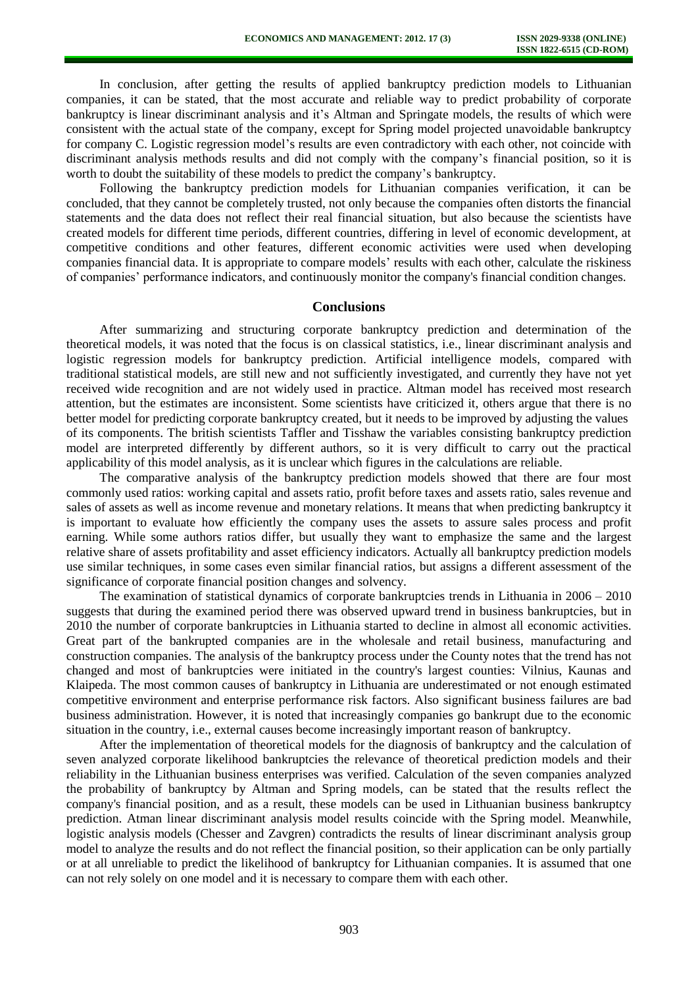In conclusion, after getting the results of applied bankruptcy prediction models to Lithuanian companies, it can be stated, that the most accurate and reliable way to predict probability of corporate bankruptcy is linear discriminant analysis and it's Altman and Springate models, the results of which were consistent with the actual state of the company, except for Spring model projected unavoidable bankruptcy for company C. Logistic regression model's results are even contradictory with each other, not coincide with discriminant analysis methods results and did not comply with the company's financial position, so it is worth to doubt the suitability of these models to predict the company's bankruptcy.

Following the bankruptcy prediction models for Lithuanian companies verification, it can be concluded, that they cannot be completely trusted, not only because the companies often distorts the financial statements and the data does not reflect their real financial situation, but also because the scientists have created models for different time periods, different countries, differing in level of economic development, at competitive conditions and other features, different economic activities were used when developing companies financial data. It is appropriate to compare models' results with each other, calculate the riskiness of companies' performance indicators, and continuously monitor the company's financial condition changes.

#### **Conclusions**

After summarizing and structuring corporate bankruptcy prediction and determination of the theoretical models, it was noted that the focus is on classical statistics, i.e., linear discriminant analysis and logistic regression models for bankruptcy prediction. Artificial intelligence models, compared with traditional statistical models, are still new and not sufficiently investigated, and currently they have not yet received wide recognition and are not widely used in practice. Altman model has received most research attention, but the estimates are inconsistent. Some scientists have criticized it, others argue that there is no better model for predicting corporate bankruptcy created, but it needs to be improved by adjusting the values of its components. The british scientists Taffler and Tisshaw the variables consisting bankruptcy prediction model are interpreted differently by different authors, so it is very difficult to carry out the practical applicability of this model analysis, as it is unclear which figures in the calculations are reliable.

The comparative analysis of the bankruptcy prediction models showed that there are four most commonly used ratios: working capital and assets ratio, profit before taxes and assets ratio, sales revenue and sales of assets as well as income revenue and monetary relations. It means that when predicting bankruptcy it is important to evaluate how efficiently the company uses the assets to assure sales process and profit earning. While some authors ratios differ, but usually they want to emphasize the same and the largest relative share of assets profitability and asset efficiency indicators. Actually all bankruptcy prediction models use similar techniques, in some cases even similar financial ratios, but assigns a different assessment of the significance of corporate financial position changes and solvency.

The examination of statistical dynamics of corporate bankruptcies trends in Lithuania in 2006 – 2010 suggests that during the examined period there was observed upward trend in business bankruptcies, but in 2010 the number of corporate bankruptcies in Lithuania started to decline in almost all economic activities. Great part of the bankrupted companies are in the wholesale and retail business, manufacturing and construction companies. The analysis of the bankruptcy process under the County notes that the trend has not changed and most of bankruptcies were initiated in the country's largest counties: Vilnius, Kaunas and Klaipeda. The most common causes of bankruptcy in Lithuania are underestimated or not enough estimated competitive environment and enterprise performance risk factors. Also significant business failures are bad business administration. However, it is noted that increasingly companies go bankrupt due to the economic situation in the country, i.e., external causes become increasingly important reason of bankruptcy.

After the implementation of theoretical models for the diagnosis of bankruptcy and the calculation of seven analyzed corporate likelihood bankruptcies the relevance of theoretical prediction models and their reliability in the Lithuanian business enterprises was verified. Calculation of the seven companies analyzed the probability of bankruptcy by Altman and Spring models, can be stated that the results reflect the company's financial position, and as a result, these models can be used in Lithuanian business bankruptcy prediction. Atman linear discriminant analysis model results coincide with the Spring model. Meanwhile, logistic analysis models (Chesser and Zavgren) contradicts the results of linear discriminant analysis group model to analyze the results and do not reflect the financial position, so their application can be only partially or at all unreliable to predict the likelihood of bankruptcy for Lithuanian companies. It is assumed that one can not rely solely on one model and it is necessary to compare them with each other.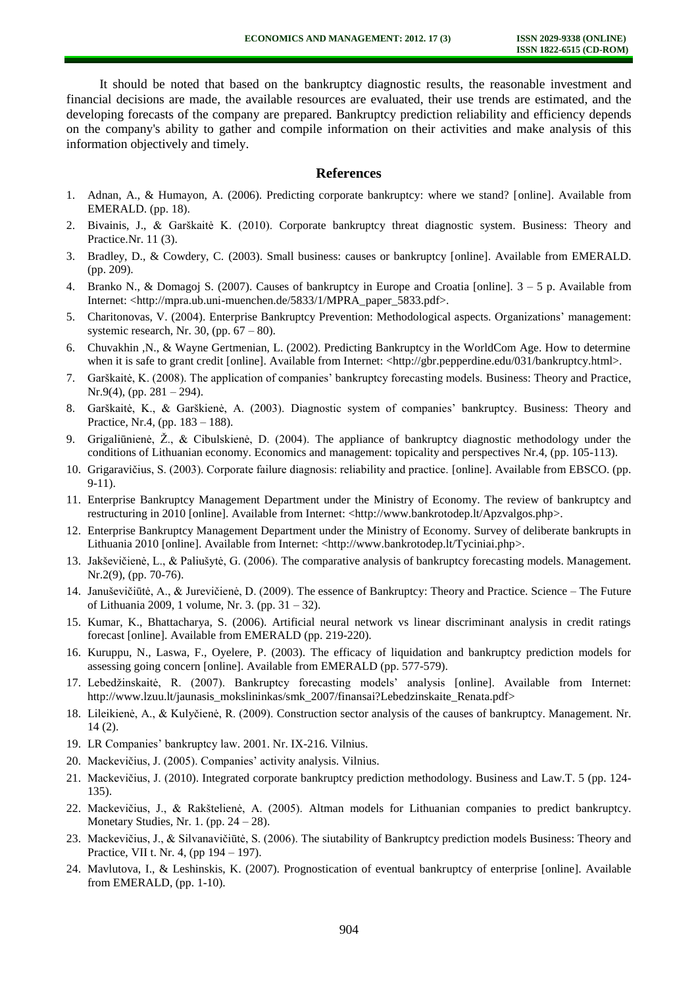It should be noted that based on the bankruptcy diagnostic results, the reasonable investment and financial decisions are made, the available resources are evaluated, their use trends are estimated, and the developing forecasts of the company are prepared. Bankruptcy prediction reliability and efficiency depends on the company's ability to gather and compile information on their activities and make analysis of this information objectively and timely.

## **References**

- 1. Adnan, A., & Humayon, A. (2006). Predicting corporate bankruptcy: where we stand? [online]. Available from EMERALD. (pp. 18).
- 2. Bivainis, J., & Garškaitė K. (2010). Corporate bankruptcy threat diagnostic system. Business: Theory and Practice.Nr. 11 (3).
- 3. Bradley, D., & Cowdery, C. (2003). Small business: causes or bankruptcy [online]. Available from EMERALD. (pp. 209).
- 4. Branko N., & Domagoj S. (2007). Causes of bankruptcy in Europe and Croatia [online]. 3 5 p. Available from Internet: <http://mpra.ub.uni-muenchen.de/5833/1/MPRA\_paper\_5833.pdf>.
- 5. Charitonovas, V. (2004). Enterprise Bankruptcy Prevention: Methodological aspects. Organizations' management: systemic research, Nr. 30, (pp.  $67 - 80$ ).
- 6. Chuvakhin ,N., & Wayne Gertmenian, L. (2002). Predicting Bankruptcy in the WorldCom Age. How to determine when it is safe to grant credit [online]. Available from Internet: <http://gbr.pepperdine.edu/031/bankruptcy.html>.
- 7. Garškaitė, K. (2008). The application of companies' bankruptcy forecasting models. Business: Theory and Practice, Nr.9(4), (pp. 281 – 294).
- 8. Garškaitė, K., & Garškienė, A. (2003). Diagnostic system of companies' bankruptcy. Business: Theory and Practice, Nr.4, (pp. 183 – 188).
- 9. Grigaliūnienė, Ž., & Cibulskienė, D. (2004). The appliance of bankruptcy diagnostic methodology under the conditions of Lithuanian economy. Economics and management: topicality and perspectives Nr.4, (pp. 105-113).
- 10. Grigaravičius, S. (2003). Corporate failure diagnosis: reliability and practice. [online]. Available from EBSCO. (pp. 9-11).
- 11. Enterprise Bankruptcy Management Department under the Ministry of Economy. The review of bankruptcy and restructuring in 2010 [online]. Available from Internet: <http://www.bankrotodep.lt/Apzvalgos.php>.
- 12. Enterprise Bankruptcy Management Department under the Ministry of Economy. Survey of deliberate bankrupts in Lithuania 2010 [online]. Available from Internet: [<http://www.bankrotodep.lt/Tyciniai.php>](http://www.bankrotodep.lt/Tyciniai.php).
- 13. Jakševičienė, L., & Paliušytė, G. (2006). The comparative analysis of bankruptcy forecasting models. Management. Nr.2(9), (pp. 70-76).
- 14. Januševičiūtė, A., & Jurevičienė, D. (2009). The essence of Bankruptcy: Theory and Practice. Science The Future of Lithuania 2009, 1 volume, Nr. 3. (pp. 31 – 32).
- 15. Kumar, K., Bhattacharya, S. (2006). Artificial neural network vs linear discriminant analysis in credit ratings forecast [online]. Available from EMERALD (pp. 219-220).
- 16. Kuruppu, N., Laswa, F., Oyelere, P. (2003). The efficacy of liquidation and bankruptcy prediction models for assessing going concern [online]. Available from EMERALD (pp. 577-579).
- 17. Lebedžinskaitė, R. (2007). Bankruptcy forecasting models' analysis [online]. Available from Internet: [http://www.lzuu.lt/jaunasis\\_mokslininkas/smk\\_2007/finansai?Lebedzinskaite\\_Renata.pdf>](http://www.lzuu.lt/jaunasis_mokslininkas/smk_2007/finansai?Lebedzinskaite_Renata.pdf)
- 18. Lileikienė, A., & Kulyčienė, R. (2009). Construction sector analysis of the causes of bankruptcy. Management. Nr.  $14(2)$ .
- 19. LR Companies' bankruptcy law. 2001. Nr. IX-216. Vilnius.
- 20. Mackevičius, J. (2005). Companies' activity analysis. Vilnius.
- 21. Mackevičius, J. (2010). Integrated corporate bankruptcy prediction methodology. Business and Law.T. 5 (pp. 124- 135).
- 22. Mackevičius, J., & Rakštelienė, A. (2005). Altman models for Lithuanian companies to predict bankruptcy. Monetary Studies, Nr. 1. (pp.  $24 - 28$ ).
- 23. Mackevičius, J., & Silvanavičiūtė, S. (2006). The siutability of Bankruptcy prediction models Business: Theory and Practice, VII t. Nr. 4, (pp 194 – 197).
- 24. Mavlutova, I., & Leshinskis, K. (2007). Prognostication of eventual bankruptcy of enterprise [online]. Available from EMERALD, (pp. 1-10).